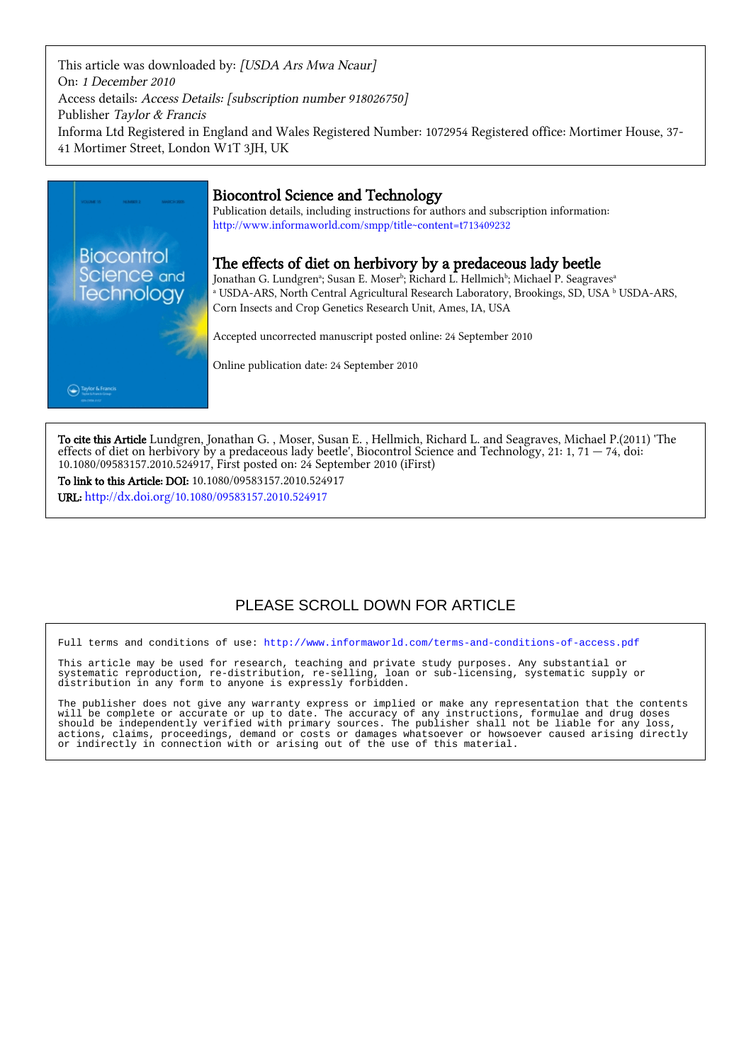This article was downloaded by: [USDA Ars Mwa Ncaur] On: 1 December 2010 Access details: Access Details: [subscription number 918026750] Publisher Taylor & Francis Informa Ltd Registered in England and Wales Registered Number: 1072954 Registered office: Mortimer House, 37- 41 Mortimer Street, London W1T 3JH, UK



## Biocontrol Science and Technology

Publication details, including instructions for authors and subscription information: <http://www.informaworld.com/smpp/title~content=t713409232>

### The effects of diet on herbivory by a predaceous lady beetle

Jonathan G. Lundgrenª; Susan E. Moserʰ; Richard L. Hellmichʰ; Michael P. Seagravesª <sup>a</sup> USDA-ARS, North Central Agricultural Research Laboratory, Brookings, SD, USA <sup>b</sup> USDA-ARS, Corn Insects and Crop Genetics Research Unit, Ames, IA, USA

Accepted uncorrected manuscript posted online: 24 September 2010

Online publication date: 24 September 2010

To cite this Article Lundgren, Jonathan G. , Moser, Susan E. , Hellmich, Richard L. and Seagraves, Michael P.(2011) 'The effects of diet on herbivory by a predaceous lady beetle', Biocontrol Science and Technology, 21: 1, 71  $-$  74, doi: 10.1080/09583157.2010.524917, First posted on: 24 September 2010 (iFirst)

To link to this Article: DOI: 10.1080/09583157.2010.524917 URL: <http://dx.doi.org/10.1080/09583157.2010.524917>

# PLEASE SCROLL DOWN FOR ARTICLE

Full terms and conditions of use:<http://www.informaworld.com/terms-and-conditions-of-access.pdf>

This article may be used for research, teaching and private study purposes. Any substantial or systematic reproduction, re-distribution, re-selling, loan or sub-licensing, systematic supply or distribution in any form to anyone is expressly forbidden.

The publisher does not give any warranty express or implied or make any representation that the contents will be complete or accurate or up to date. The accuracy of any instructions, formulae and drug doses should be independently verified with primary sources. The publisher shall not be liable for any loss, actions, claims, proceedings, demand or costs or damages whatsoever or howsoever caused arising directly or indirectly in connection with or arising out of the use of this material.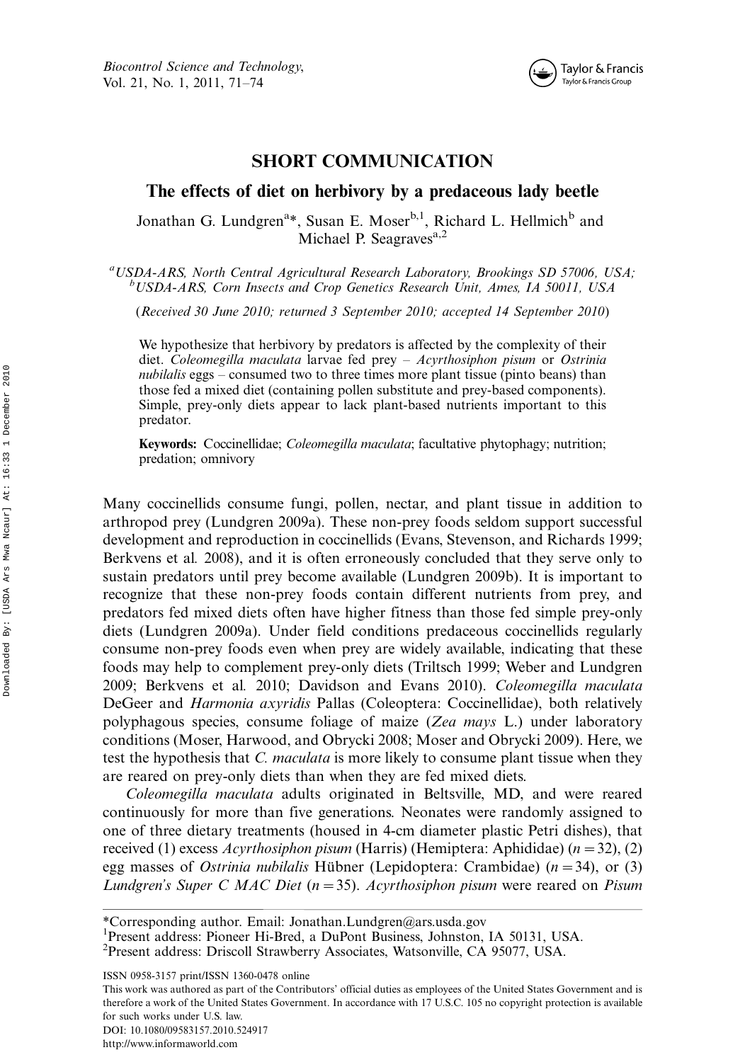

### SHORT COMMUNICATION

### The effects of diet on herbivory by a predaceous lady beetle

Jonathan G. Lundgren<sup>a\*</sup>, Susan E. Moser<sup>b, 1</sup>, Richard L. Hellmich<sup>b</sup> and Michael P. Seagraves<sup>a,2</sup>

<sup>a</sup>USDA-ARS, North Central Agricultural Research Laboratory, Brookings SD 57006, USA;<br><sup>b</sup>USDA-ARS, Cern Insects and Crop Cenaties Research Unit, Ames, LA 50011, USA USDA-ARS, Corn Insects and Crop Genetics Research Unit, Ames, IA 50011, USA

(Received 30 June 2010; returned 3 September 2010; accepted 14 September 2010)

We hypothesize that herbivory by predators is affected by the complexity of their diet. Coleomegilla maculata larvae fed prey  $-$  Acyrthosiphon pisum or Ostrinia nubilalis eggs  $-\tilde{\text{constant}}$  two to three times more plant tissue (pinto beans) than those fed a mixed diet (containing pollen substitute and prey-based components). Simple, prey-only diets appear to lack plant-based nutrients important to this predator.

Keywords: Coccinellidae; Coleomegilla maculata; facultative phytophagy; nutrition; predation; omnivory

Many coccinellids consume fungi, pollen, nectar, and plant tissue in addition to arthropod prey (Lundgren 2009a). These non-prey foods seldom support successful development and reproduction in coccinellids (Evans, Stevenson, and Richards 1999; Berkvens et al. 2008), and it is often erroneously concluded that they serve only to sustain predators until prey become available (Lundgren 2009b). It is important to recognize that these non-prey foods contain different nutrients from prey, and predators fed mixed diets often have higher fitness than those fed simple prey-only diets (Lundgren 2009a). Under field conditions predaceous coccinellids regularly consume non-prey foods even when prey are widely available, indicating that these foods may help to complement prey-only diets (Triltsch 1999; Weber and Lundgren 2009; Berkvens et al. 2010; Davidson and Evans 2010). Coleomegilla maculata DeGeer and Harmonia axyridis Pallas (Coleoptera: Coccinellidae), both relatively polyphagous species, consume foliage of maize (Zea mays L.) under laboratory conditions (Moser, Harwood, and Obrycki 2008; Moser and Obrycki 2009). Here, we test the hypothesis that *C. maculata* is more likely to consume plant tissue when they are reared on prey-only diets than when they are fed mixed diets.

Coleomegilla maculata adults originated in Beltsville, MD, and were reared continuously for more than five generations. Neonates were randomly assigned to one of three dietary treatments (housed in 4-cm diameter plastic Petri dishes), that received (1) excess  $A$ cyrthosiphon pisum (Harris) (Hemiptera: Aphididae) ( $n = 32$ ), (2) egg masses of *Ostrinia nubilalis* Hübner (Lepidoptera: Crambidae)  $(n=34)$ , or (3) Lundgren's Super C MAC Diet  $(n=35)$ . Acyrthosiphon pisum were reared on Pisum

This work was authored as part of the Contributors' official duties as employees of the United States Government and is therefore a work of the United States Government. In accordance with 17 U.S.C. 105 no copyright protection is available for such works under U.S. law. DOI: 10.1080/09583157.2010.524917

<sup>\*</sup>Corresponding author. Email: Jonathan.Lundgren@ars.usda.gov

<sup>&</sup>lt;sup>1</sup>Present address: Pioneer Hi-Bred, a DuPont Business, Johnston, IA 50131, USA.

<sup>2</sup> Present address: Driscoll Strawberry Associates, Watsonville, CA 95077, USA.

ISSN 0958-3157 print/ISSN 1360-0478 online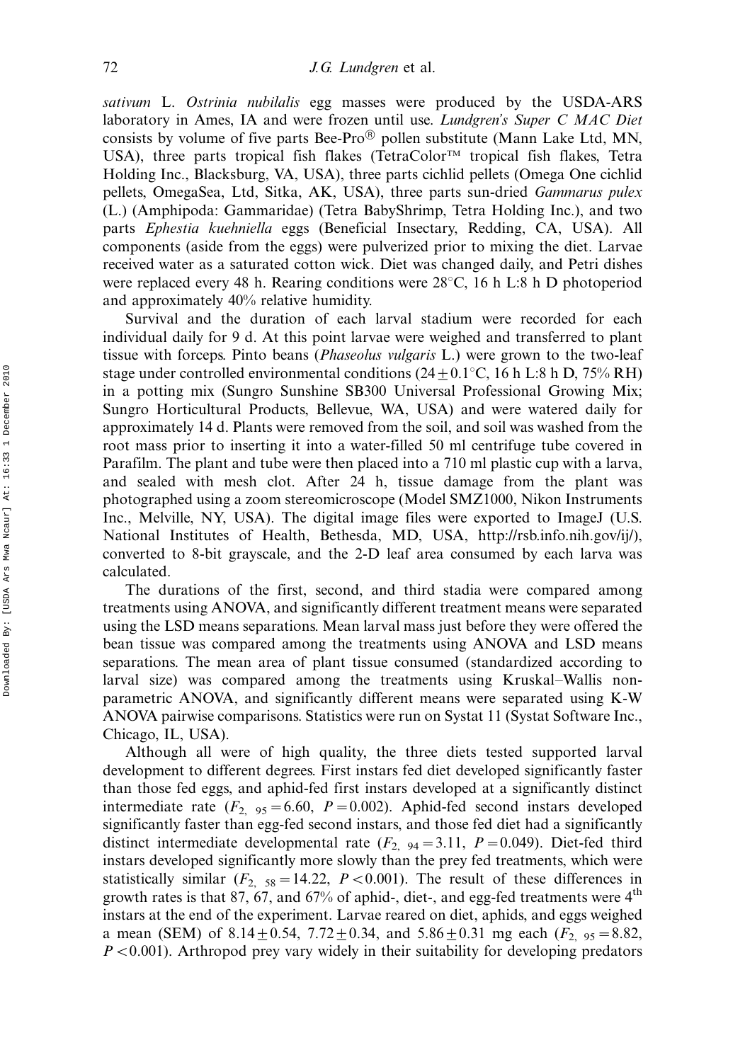sativum L. Ostrinia nubilalis egg masses were produced by the USDA-ARS laboratory in Ames, IA and were frozen until use. *Lundgren's Super C MAC Diet* consists by volume of five parts Bee-Pro $\textcircled{8}$  pollen substitute (Mann Lake Ltd, MN, USA), three parts tropical fish flakes (TetraColor<sup>TM</sup> tropical fish flakes, Tetra Holding Inc., Blacksburg, VA, USA), three parts cichlid pellets (Omega One cichlid pellets, OmegaSea, Ltd, Sitka, AK, USA), three parts sun-dried Gammarus pulex (L.) (Amphipoda: Gammaridae) (Tetra BabyShrimp, Tetra Holding Inc.), and two parts Ephestia kuehniella eggs (Beneficial Insectary, Redding, CA, USA). All components (aside from the eggs) were pulverized prior to mixing the diet. Larvae received water as a saturated cotton wick. Diet was changed daily, and Petri dishes were replaced every 48 h. Rearing conditions were  $28^{\circ}$ C, 16 h L:8 h D photoperiod and approximately 40% relative humidity.

Survival and the duration of each larval stadium were recorded for each individual daily for 9 d. At this point larvae were weighed and transferred to plant tissue with forceps. Pinto beans (Phaseolus vulgaris L.) were grown to the two-leaf stage under controlled environmental conditions ( $24 \pm 0.1^{\circ}$ C, 16 h L:8 h D, 75% RH) in a potting mix (Sungro Sunshine SB300 Universal Professional Growing Mix; Sungro Horticultural Products, Bellevue, WA, USA) and were watered daily for approximately 14 d. Plants were removed from the soil, and soil was washed from the root mass prior to inserting it into a water-filled 50 ml centrifuge tube covered in Parafilm. The plant and tube were then placed into a 710 ml plastic cup with a larva, and sealed with mesh clot. After 24 h, tissue damage from the plant was photographed using a zoom stereomicroscope (Model SMZ1000, Nikon Instruments Inc., Melville, NY, USA). The digital image files were exported to ImageJ (U.S. National Institutes of Health, Bethesda, MD, USA, http://rsb.info.nih.gov/ij/), converted to 8-bit grayscale, and the 2-D leaf area consumed by each larva was calculated.

The durations of the first, second, and third stadia were compared among treatments using ANOVA, and significantly different treatment means were separated using the LSD means separations. Mean larval mass just before they were offered the bean tissue was compared among the treatments using ANOVA and LSD means separations. The mean area of plant tissue consumed (standardized according to larval size) was compared among the treatments using Kruskal–Wallis nonparametric ANOVA, and significantly different means were separated using K-W ANOVA pairwise comparisons. Statistics were run on Systat 11 (Systat Software Inc., Chicago, IL, USA).

Although all were of high quality, the three diets tested supported larval development to different degrees. First instars fed diet developed significantly faster than those fed eggs, and aphid-fed first instars developed at a significantly distinct intermediate rate  $(F_{2, 95} = 6.60, P = 0.002)$ . Aphid-fed second instars developed significantly faster than egg-fed second instars, and those fed diet had a significantly distinct intermediate developmental rate  $(F_{2, 94} = 3.11, P = 0.049)$ . Diet-fed third instars developed significantly more slowly than the prey fed treatments, which were statistically similar  $(F_{2, 58} = 14.22, P < 0.001)$ . The result of these differences in growth rates is that 87, 67, and 67% of aphid-, diet-, and egg-fed treatments were  $4<sup>th</sup>$ instars at the end of the experiment. Larvae reared on diet, aphids, and eggs weighed a mean (SEM) of 8.14 $\pm$ 0.54, 7.72 $\pm$ 0.34, and 5.86 $\pm$ 0.31 mg each ( $F_{2, 95} = 8.82$ ,  $P < 0.001$ ). Arthropod prey vary widely in their suitability for developing predators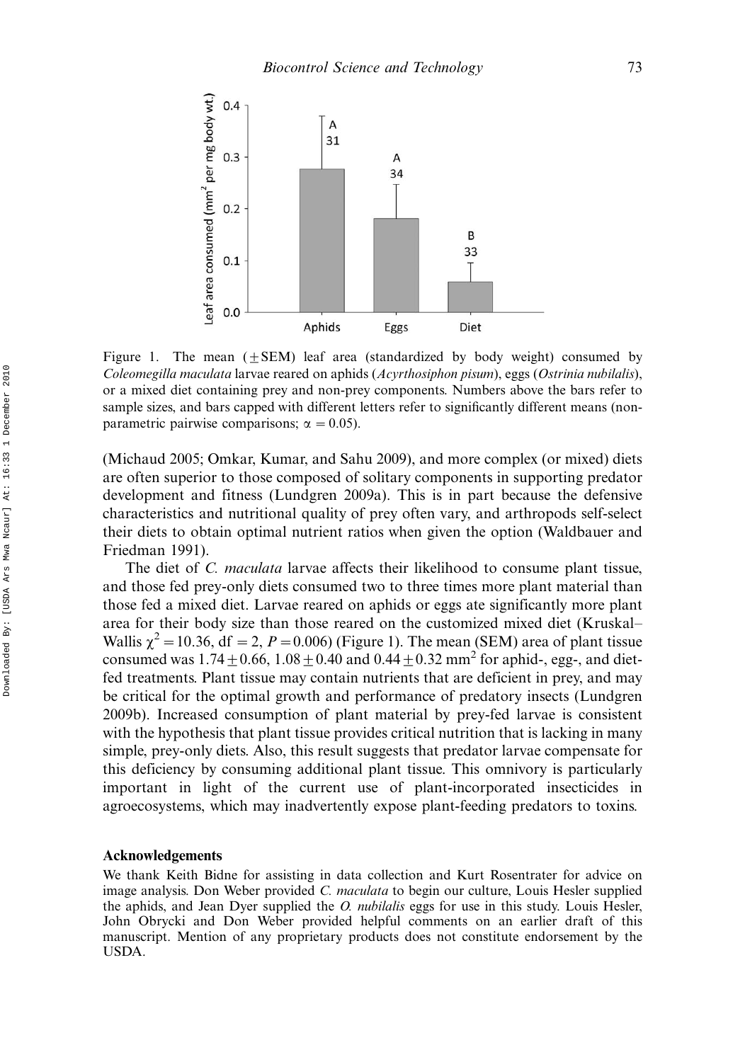

Figure 1. The mean  $(+$  SEM) leaf area (standardized by body weight) consumed by Coleomegilla maculata larvae reared on aphids (Acyrthosiphon pisum), eggs (Ostrinia nubilalis), or a mixed diet containing prey and non-prey components. Numbers above the bars refer to sample sizes, and bars capped with different letters refer to significantly different means (nonparametric pairwise comparisons;  $\alpha = 0.05$ ).

(Michaud 2005; Omkar, Kumar, and Sahu 2009), and more complex (or mixed) diets are often superior to those composed of solitary components in supporting predator development and fitness (Lundgren 2009a). This is in part because the defensive characteristics and nutritional quality of prey often vary, and arthropods self-select their diets to obtain optimal nutrient ratios when given the option (Waldbauer and Friedman 1991).

The diet of *C. maculata* larvae affects their likelihood to consume plant tissue, and those fed prey-only diets consumed two to three times more plant material than those fed a mixed diet. Larvae reared on aphids or eggs ate significantly more plant area for their body size than those reared on the customized mixed diet (Kruskal Wallis  $\chi^2 = 10.36$ , df = 2, P = 0.006) (Figure 1). The mean (SEM) area of plant tissue consumed was  $1.74 \pm 0.66$ ,  $1.08 \pm 0.40$  and  $0.44 \pm 0.32$  mm<sup>2</sup> for aphid-, egg-, and dietfed treatments. Plant tissue may contain nutrients that are deficient in prey, and may be critical for the optimal growth and performance of predatory insects (Lundgren 2009b). Increased consumption of plant material by prey-fed larvae is consistent with the hypothesis that plant tissue provides critical nutrition that is lacking in many simple, prey-only diets. Also, this result suggests that predator larvae compensate for this deficiency by consuming additional plant tissue. This omnivory is particularly important in light of the current use of plant-incorporated insecticides in agroecosystems, which may inadvertently expose plant-feeding predators to toxins.

#### Acknowledgements

We thank Keith Bidne for assisting in data collection and Kurt Rosentrater for advice on image analysis. Don Weber provided C. maculata to begin our culture, Louis Hesler supplied the aphids, and Jean Dyer supplied the *O. nubilalis* eggs for use in this study. Louis Hesler, John Obrycki and Don Weber provided helpful comments on an earlier draft of this manuscript. Mention of any proprietary products does not constitute endorsement by the USDA.